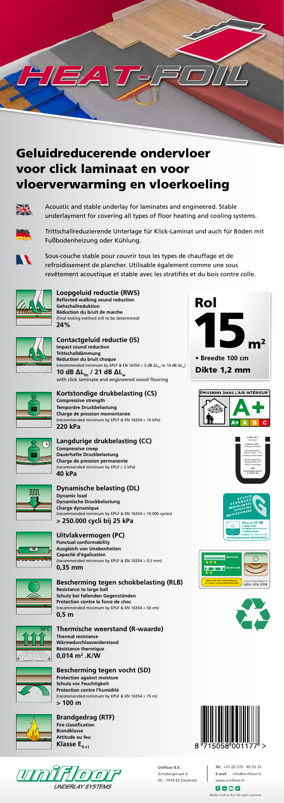

#### **Loopgeluid reductie (RWS) Reflected walking sound reduction**

**Gehschallreduktion Réduction du bruit de marche** (final testing method still to be determined) **24%**



**Contactgeluid reductie (IS) Impact sound reduction Trittschalldämmung Réduction du bruit choque** (recommended minimum by EPLF & EN 16354  $\geq$  3 dB  $\Delta L_{\text{lin}}$  or 14 dB  $\Delta L_{\text{sub}}$ ) **10 dB ΔLlin / 21 dB ΔLw** with click laminate and engineered wood flooring

### **Kortstondige drukbelasting (CS)**



**Compressive strength Temporäre Druckbelastung Charge de pression momentanée** (recommended minimum by EPLF & EN 16354 ≥ 10 kPa) **220 kPa**

## **Langdurige drukbelasting (CC)**

**Compressive creep Dauerhafte Druckbelastung Charge de pression permanente** (recommended minimum by EPLF ≥ 2 kPa) **40 kPa** 



## **Dynamische belasting (DL)**

#### **Brandgedrag (RTF) Fire classification Brandklasse Attitude au feu Klasse E**<sub>fl-s1</sub>



**Dynamic load Dynamische Druckbelastung Charge dynamique** (recommended minimum by EPLF & EN 16354 ≥ 10.000 cycles) **> 250.000 cycli bij 25 kPa**



**Uitvlakvermogen (PC) Punctual conformability Ausgleich von Unebenheiten Capacité d'égalisation** (recommended minimum by EPLF & EN 16354  $\geq$  0,5 mm) **0,35 mm**



#### **Bescherming tegen schokbelasting (RLB)**

**Resistance to large ball Schutz bei fallenden Gegenständen Protection contre la force de choc** (recommended minimum by EPLF & EN 16354  $\geq$  50 cm) **0,5 m**

## **Thermische weerstand (R-waarde)**

**Thermal resistance Wärmedurchlasswiderstand Résistance thermique 0,014 m2 .K/W**



 $f \circ g$ @2020 Unifloor B.V. All rights reserved.

#### **Bescherming tegen vocht (SD) Protection against moisture**

**Schutz vor Feuchtigkeit Protection contre l'humidité** (recommended minimum by EPLF & EN 16354 ≥ 75 m) **> 100 m**









# Geluidreducerende ondervloer voor click laminaat en voor vloerverwarming en vloerkoeling

 $7\sqrt{2}$ 



Acoustic and stable underlay for laminates and engineered. Stable underlayment for covering all types of floor heating and cooling systems.



Trittschallreduzierende Unterlage für Klick-Laminat und auch für Böden mit Fußbodenheizung oder Kühlung.



Sous-couche stable pour couvrir tous les types de chauffage et de refroidissement de plancher. Utilisable également comme une sous revêtement acoustique et stable avec les stratifiés et du bois contre colle.













**Tel.** +31 (0) 570 - 85 55 33 **E-mail** info@unifloor.nl www.unifloor.nl

**Unifloor B.V.** Arnsbergstraat 4 NL - 7418 EZ Deventer